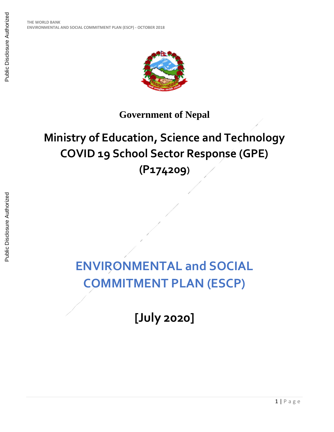

### **Government of Nepal**

## **Ministry of Education, Science and Technology COVID 19 School Sector Response (GPE) (P174209)**

# **ENVIRONMENTAL and SOCIAL COMMITMENT PLAN (ESCP)**

**[July 2020]**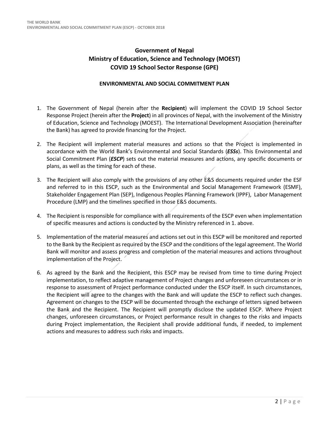#### **Government of Nepal Ministry of Education, Science and Technology (MOEST) COVID 19 School Sector Response (GPE)**

#### **ENVIRONMENTAL AND SOCIAL COMMITMENT PLAN**

- 1. The Government of Nepal (herein after the **Recipient**) will implement the COVID 19 School Sector Response Project (herein after the **Project**) in all provinces of Nepal, with the involvement of the Ministry of Education, Science and Technology (MOEST). The International Development Association (hereinafter the Bank) has agreed to provide financing for the Project.
- 2. The Recipient will implement material measures and actions so that the Project is implemented in accordance with the World Bank's Environmental and Social Standards (*ESSs*). This Environmental and Social Commitment Plan (*ESCP*) sets out the material measures and actions, any specific documents or plans, as well as the timing for each of these.
- 3. The Recipient will also comply with the provisions of any other E&S documents required under the ESF and referred to in this ESCP, such as the Environmental and Social Management Framework (ESMF), Stakeholder Engagement Plan (SEP), Indigenous Peoples Planning Framework (IPPF), Labor Management Procedure (LMP) and the timelines specified in those E&S documents.
- 4. The Recipient is responsible for compliance with all requirements of the ESCP even when implementation of specific measures and actions is conducted by the Ministry referenced in 1. above.
- 5. Implementation of the material measures and actions set out in this ESCP will be monitored and reported to the Bank by the Recipient as required by the ESCP and the conditions of the legal agreement. The World Bank will monitor and assess progress and completion of the material measures and actions throughout implementation of the Project.
- 6. As agreed by the Bank and the Recipient, this ESCP may be revised from time to time during Project implementation, to reflect adaptive management of Project changes and unforeseen circumstances or in response to assessment of Project performance conducted under the ESCP itself. In such circumstances, the Recipient will agree to the changes with the Bank and will update the ESCP to reflect such changes. Agreement on changes to the ESCP will be documented through the exchange of letters signed between the Bank and the Recipient. The Recipient will promptly disclose the updated ESCP. Where Project changes, unforeseen circumstances, or Project performance result in changes to the risks and impacts during Project implementation, the Recipient shall provide additional funds, if needed, to implement actions and measures to address such risks and impacts.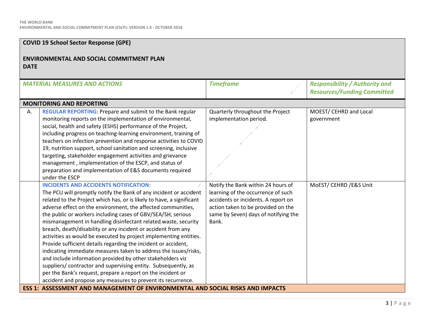#### **COVID 19 School Sector Response (GPE)**

#### **ENVIRONMENTAL AND SOCIAL COMMITMENT PLAN DATE**

| <b>MATERIAL MEASURES AND ACTIONS</b>                                                                                                                                                                                                                                                                                                                                                                                                                                                                                                                                                                                                                                                                                                                                                                                                                                                                                                                                                                                             | <b>Timeframe</b>                                                                                                                                                                                       | <b>Responsibility / Authority and</b><br><b>Resources/Funding Committed</b> |
|----------------------------------------------------------------------------------------------------------------------------------------------------------------------------------------------------------------------------------------------------------------------------------------------------------------------------------------------------------------------------------------------------------------------------------------------------------------------------------------------------------------------------------------------------------------------------------------------------------------------------------------------------------------------------------------------------------------------------------------------------------------------------------------------------------------------------------------------------------------------------------------------------------------------------------------------------------------------------------------------------------------------------------|--------------------------------------------------------------------------------------------------------------------------------------------------------------------------------------------------------|-----------------------------------------------------------------------------|
| <b>MONITORING AND REPORTING</b>                                                                                                                                                                                                                                                                                                                                                                                                                                                                                                                                                                                                                                                                                                                                                                                                                                                                                                                                                                                                  |                                                                                                                                                                                                        |                                                                             |
| REGULAR REPORTING: Prepare and submit to the Bank regular<br>Α.<br>monitoring reports on the implementation of environmental,<br>social, health and safety (ESHS) performance of the Project,<br>including progress on teaching-learning environment, training of<br>teachers on infection prevention and response activities to COVID<br>19, nutrition support, school sanitation and screening, inclusive<br>targeting, stakeholder engagement activities and grievance<br>management, implementation of the ESCP, and status of<br>preparation and implementation of E&S documents required<br>under the ESCP                                                                                                                                                                                                                                                                                                                                                                                                                 | Quarterly throughout the Project<br>implementation period.                                                                                                                                             | MOEST/ CEHRD and Local<br>government                                        |
| <b>INCIDENTS AND ACCIDENTS NOTIFICATION:</b><br>The PCU will promptly notify the Bank of any incident or accident<br>related to the Project which has, or is likely to have, a significant<br>adverse effect on the environment, the affected communities,<br>the public or workers including cases of GBV/SEA/SH, serious<br>mismanagement in handling disinfectant related waste, security<br>breach, death/disability or any incident or accident from any<br>activities as would be executed by project implementing entities.<br>Provide sufficient details regarding the incident or accident,<br>indicating immediate measures taken to address the issues/risks,<br>and include information provided by other stakeholders viz<br>suppliers/ contractor and supervising entity. Subsequently, as<br>per the Bank's request, prepare a report on the incident or<br>accident and propose any measures to prevent its recurrence.<br><b>ESS 1: ASSESSMENT AND MANAGEMENT OF ENVIRONMENTAL AND SOCIAL RISKS AND IMPACTS</b> | Notify the Bank within 24 hours of<br>learning of the occurrence of such<br>accidents or incidents. A report on<br>action taken to be provided on the<br>same by Seven) days of notifying the<br>Bank. | MoEST/ CEHRD / E&S Unit                                                     |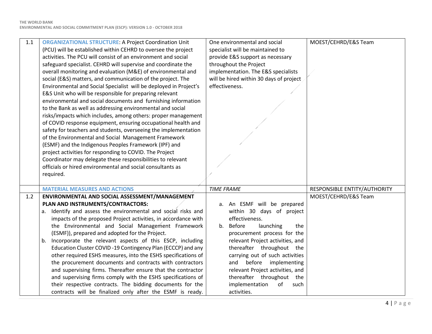| $1.1\,$ | <b>ORGANIZATIONAL STRUCTURE: A Project Coordination Unit</b><br>(PCU) will be established within CEHRD to oversee the project<br>activities. The PCU will consist of an environment and social<br>safeguard specialist. CEHRD will supervise and coordinate the<br>overall monitoring and evaluation (M&E) of environmental and<br>social (E&S) matters, and communication of the project. The<br>Environmental and Social Specialist will be deployed in Project's<br>E&S Unit who will be responsible for preparing relevant<br>environmental and social documents and furnishing information<br>to the Bank as well as addressing environmental and social<br>risks/impacts which includes, among others: proper management<br>of COVID response equipment, ensuring occupational health and<br>safety for teachers and students, overseeing the implementation<br>of the Environmental and Social Management Framework<br>(ESMF) and the Indigenous Peoples Framework (IPF) and<br>project activities for responding to COVID. The Project<br>Coordinator may delegate these responsibilities to relevant | One environmental and social<br>specialist will be maintained to<br>provide E&S support as necessary<br>throughout the Project<br>implementation. The E&S specialists<br>will be hired within 30 days of project<br>effectiveness.                                                                                                                                                        | MOEST/CEHRD/E&S Team         |
|---------|---------------------------------------------------------------------------------------------------------------------------------------------------------------------------------------------------------------------------------------------------------------------------------------------------------------------------------------------------------------------------------------------------------------------------------------------------------------------------------------------------------------------------------------------------------------------------------------------------------------------------------------------------------------------------------------------------------------------------------------------------------------------------------------------------------------------------------------------------------------------------------------------------------------------------------------------------------------------------------------------------------------------------------------------------------------------------------------------------------------|-------------------------------------------------------------------------------------------------------------------------------------------------------------------------------------------------------------------------------------------------------------------------------------------------------------------------------------------------------------------------------------------|------------------------------|
|         | officials or hired environmental and social consultants as<br>required.                                                                                                                                                                                                                                                                                                                                                                                                                                                                                                                                                                                                                                                                                                                                                                                                                                                                                                                                                                                                                                       |                                                                                                                                                                                                                                                                                                                                                                                           |                              |
|         | <b>MATERIAL MEASURES AND ACTIONS</b>                                                                                                                                                                                                                                                                                                                                                                                                                                                                                                                                                                                                                                                                                                                                                                                                                                                                                                                                                                                                                                                                          | <b>TIME FRAME</b>                                                                                                                                                                                                                                                                                                                                                                         | RESPONSIBLE ENTITY/AUTHORITY |
| 1.2     | ENVIRONMENTAL AND SOCIAL ASSESSMENT/MANAGEMENT                                                                                                                                                                                                                                                                                                                                                                                                                                                                                                                                                                                                                                                                                                                                                                                                                                                                                                                                                                                                                                                                |                                                                                                                                                                                                                                                                                                                                                                                           | MOEST/CEHRD/E&S Team         |
|         | PLAN AND INSTRUMENTS/CONTRACTORS:<br>a. Identify and assess the environmental and social risks and<br>impacts of the proposed Project activities, in accordance with<br>the Environmental and Social Management Framework<br>(ESMF)), prepared and adopted for the Project.<br>Incorporate the relevant aspects of this ESCP, including<br>b.<br>Education Cluster COVID-19 Contingency Plan (ECCCP) and any<br>other required ESHS measures, into the ESHS specifications of<br>the procurement documents and contracts with contractors<br>and supervising firms. Thereafter ensure that the contractor<br>and supervising firms comply with the ESHS specifications of<br>their respective contracts. The bidding documents for the<br>contracts will be finalized only after the ESMF is ready.                                                                                                                                                                                                                                                                                                           | a. An ESMF will be prepared<br>within 30 days of project<br>effectiveness.<br>b. Before<br>launching<br>the<br>procurement process for the<br>relevant Project activities, and<br>thereafter throughout the<br>carrying out of such activities<br>and before implementing<br>relevant Project activities, and<br>thereafter throughout the<br>implementation<br>of<br>such<br>activities. |                              |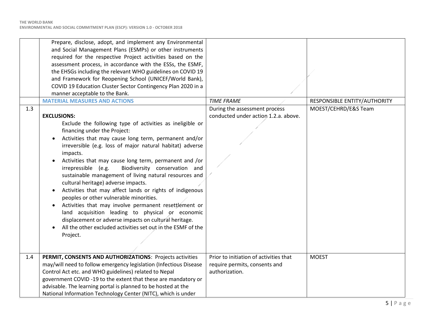| 1.3 | Prepare, disclose, adopt, and implement any Environmental<br>and Social Management Plans (ESMPs) or other instruments<br>required for the respective Project activities based on the<br>assessment process, in accordance with the ESSs, the ESMF,<br>the EHSGs including the relevant WHO guidelines on COVID 19<br>and Framework for Reopening School (UNICEF/World Bank),<br>COVID 19 Education Cluster Sector Contingency Plan 2020 in a<br>manner acceptable to the Bank.<br><b>MATERIAL MEASURES AND ACTIONS</b><br><b>EXCLUSIONS:</b><br>Exclude the following type of activities as ineligible or<br>financing under the Project:<br>Activities that may cause long term, permanent and/or<br>irreversible (e.g. loss of major natural habitat) adverse<br>impacts.<br>Activities that may cause long term, permanent and /or<br>$\bullet$<br>irrepressible (e.g.<br>Biodiversity conservation and<br>sustainable management of living natural resources and<br>cultural heritage) adverse impacts.<br>Activities that may affect lands or rights of indigenous<br>peoples or other vulnerable minorities.<br>Activities that may involve permanent resettlement or<br>land acquisition leading to physical or economic<br>displacement or adverse impacts on cultural heritage.<br>All the other excluded activities set out in the ESMF of the | <b>TIME FRAME</b><br>During the assessment process<br>conducted under action 1.2.a. above. | RESPONSIBLE ENTITY/AUTHORITY<br>MOEST/CEHRD/E&S Team |
|-----|----------------------------------------------------------------------------------------------------------------------------------------------------------------------------------------------------------------------------------------------------------------------------------------------------------------------------------------------------------------------------------------------------------------------------------------------------------------------------------------------------------------------------------------------------------------------------------------------------------------------------------------------------------------------------------------------------------------------------------------------------------------------------------------------------------------------------------------------------------------------------------------------------------------------------------------------------------------------------------------------------------------------------------------------------------------------------------------------------------------------------------------------------------------------------------------------------------------------------------------------------------------------------------------------------------------------------------------------------------|--------------------------------------------------------------------------------------------|------------------------------------------------------|
|     | Project.                                                                                                                                                                                                                                                                                                                                                                                                                                                                                                                                                                                                                                                                                                                                                                                                                                                                                                                                                                                                                                                                                                                                                                                                                                                                                                                                                 |                                                                                            |                                                      |
| 1.4 | PERMIT, CONSENTS AND AUTHORIZATIONS: Projects activities                                                                                                                                                                                                                                                                                                                                                                                                                                                                                                                                                                                                                                                                                                                                                                                                                                                                                                                                                                                                                                                                                                                                                                                                                                                                                                 | Prior to initiation of activities that                                                     | <b>MOEST</b>                                         |
|     | may/will need to follow emergency legislation (Infectious Disease<br>Control Act etc. and WHO guidelines) related to Nepal                                                                                                                                                                                                                                                                                                                                                                                                                                                                                                                                                                                                                                                                                                                                                                                                                                                                                                                                                                                                                                                                                                                                                                                                                               | require permits, consents and<br>authorization.                                            |                                                      |
|     | government COVID-19 to the extent that these are mandatory or                                                                                                                                                                                                                                                                                                                                                                                                                                                                                                                                                                                                                                                                                                                                                                                                                                                                                                                                                                                                                                                                                                                                                                                                                                                                                            |                                                                                            |                                                      |
|     | advisable. The learning portal is planned to be hosted at the                                                                                                                                                                                                                                                                                                                                                                                                                                                                                                                                                                                                                                                                                                                                                                                                                                                                                                                                                                                                                                                                                                                                                                                                                                                                                            |                                                                                            |                                                      |
|     | National Information Technology Center (NITC), which is under                                                                                                                                                                                                                                                                                                                                                                                                                                                                                                                                                                                                                                                                                                                                                                                                                                                                                                                                                                                                                                                                                                                                                                                                                                                                                            |                                                                                            |                                                      |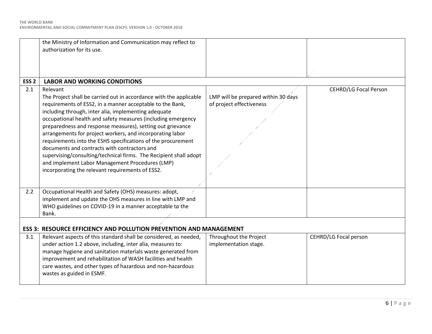**ENVIRONMENTAL AND SOCIAL COMMITMENT PLAN (ESCP): VERSION 1.0 - OCTOBER 2018**

|                  | the Ministry of Information and Communication may reflect to<br>authorization for its use.                                                                                                                                                                                                                                                                                                                                                                                                                                                                                                                                                                                                 |                                                                 |                              |
|------------------|--------------------------------------------------------------------------------------------------------------------------------------------------------------------------------------------------------------------------------------------------------------------------------------------------------------------------------------------------------------------------------------------------------------------------------------------------------------------------------------------------------------------------------------------------------------------------------------------------------------------------------------------------------------------------------------------|-----------------------------------------------------------------|------------------------------|
| ESS <sub>2</sub> | <b>LABOR AND WORKING CONDITIONS</b>                                                                                                                                                                                                                                                                                                                                                                                                                                                                                                                                                                                                                                                        |                                                                 |                              |
| 2.1              | Relevant<br>The Project shall be carried out in accordance with the applicable<br>requirements of ESS2, in a manner acceptable to the Bank,<br>including through, inter alia, implementing adequate<br>occupational health and safety measures (including emergency<br>preparedness and response measures), setting out grievance<br>arrangements for project workers, and incorporating labor<br>requirements into the ESHS specifications of the procurement<br>documents and contracts with contractors and<br>supervising/consulting/technical firms. The Recipient shall adopt<br>and implement Labor Management Procedures (LMP)<br>incorporating the relevant requirements of ESS2. | LMP will be prepared within 30 days<br>of project effectiveness | <b>CEHRD/LG Focal Person</b> |
| 2.2              | Occupational Health and Safety (OHS) measures: adopt,                                                                                                                                                                                                                                                                                                                                                                                                                                                                                                                                                                                                                                      |                                                                 |                              |
|                  | implement and update the OHS measures in line with LMP and<br>WHO guidelines on COVID-19 in a manner acceptable to the<br>Bank.                                                                                                                                                                                                                                                                                                                                                                                                                                                                                                                                                            |                                                                 |                              |
|                  |                                                                                                                                                                                                                                                                                                                                                                                                                                                                                                                                                                                                                                                                                            |                                                                 |                              |
|                  | <b>ESS 3: RESOURCE EFFICIENCY AND POLLUTION PREVENTION AND MANAGEMENT</b>                                                                                                                                                                                                                                                                                                                                                                                                                                                                                                                                                                                                                  |                                                                 |                              |
| 3.1              | Relevant aspects of this standard shall be considered, as needed,<br>under action 1.2 above, including, inter alia, measures to:<br>manage hygiene and sanitation materials waste generated from<br>improvement and rehabilitation of WASH facilities and health<br>care wastes, and other types of hazardous and non-hazardous<br>wastes as guided in ESMF.                                                                                                                                                                                                                                                                                                                               | Throughout the Project<br>implementation stage.                 | CEHRD/LG Focal person        |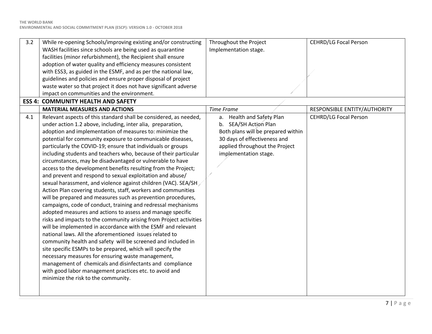| 3.2 | While re-opening Schools/improving existing and/or constructing                                                         | Throughout the Project             | <b>CEHRD/LG Focal Person</b> |
|-----|-------------------------------------------------------------------------------------------------------------------------|------------------------------------|------------------------------|
|     | WASH facilities since schools are being used as quarantine                                                              | Implementation stage.              |                              |
|     | facilities (minor refurbishment), the Recipient shall ensure                                                            |                                    |                              |
|     | adoption of water quality and efficiency measures consistent                                                            |                                    |                              |
|     | with ESS3, as guided in the ESMF, and as per the national law,                                                          |                                    |                              |
|     | guidelines and policies and ensure proper disposal of project                                                           |                                    |                              |
|     | waste water so that project it does not have significant adverse                                                        |                                    |                              |
|     | impact on communities and the environment.                                                                              |                                    |                              |
|     | <b>ESS 4: COMMUNITY HEALTH AND SAFETY</b>                                                                               |                                    |                              |
|     | <b>MATERIAL MEASURES AND ACTIONS</b>                                                                                    | <b>Time Frame</b>                  | RESPONSIBLE ENTITY/AUTHORITY |
| 4.1 | Relevant aspects of this standard shall be considered, as needed,                                                       | a. Health and Safety Plan          | <b>CEHRD/LG Focal Person</b> |
|     | under action 1.2 above, including, inter alia, preparation,                                                             | b. SEA/SH Action Plan              |                              |
|     | adoption and implementation of measures to: minimize the                                                                | Both plans will be prepared within |                              |
|     | potential for community exposure to communicable diseases,                                                              | 30 days of effectiveness and       |                              |
|     | particularly the COVID-19; ensure that individuals or groups                                                            | applied throughout the Project     |                              |
|     | including students and teachers who, because of their particular                                                        | implementation stage.              |                              |
|     | circumstances, may be disadvantaged or vulnerable to have                                                               |                                    |                              |
|     | access to the development benefits resulting from the Project;                                                          |                                    |                              |
|     | and prevent and respond to sexual exploitation and abuse/                                                               |                                    |                              |
|     | sexual harassment, and violence against children (VAC). SEA/SH                                                          |                                    |                              |
|     | Action Plan covering students, staff, workers and communities                                                           |                                    |                              |
|     | will be prepared and measures such as prevention procedures,                                                            |                                    |                              |
|     | campaigns, code of conduct, training and redressal mechanisms                                                           |                                    |                              |
|     | adopted measures and actions to assess and manage specific                                                              |                                    |                              |
|     | risks and impacts to the community arising from Project activities                                                      |                                    |                              |
|     | will be implemented in accordance with the ESMF and relevant<br>national laws. All the aforementioned issues related to |                                    |                              |
|     |                                                                                                                         |                                    |                              |
|     | community health and safety will be screened and included in                                                            |                                    |                              |
|     | site specific ESMPs to be prepared, which will specify the                                                              |                                    |                              |
|     | necessary measures for ensuring waste management,<br>management of chemicals and disinfectants and compliance           |                                    |                              |
|     | with good labor management practices etc. to avoid and                                                                  |                                    |                              |
|     | minimize the risk to the community.                                                                                     |                                    |                              |
|     |                                                                                                                         |                                    |                              |
|     |                                                                                                                         |                                    |                              |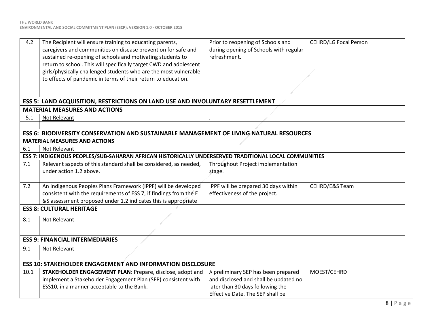| 4.2                                    | The Recipient will ensure training to educating parents,<br>caregivers and communities on disease prevention for safe and<br>sustained re-opening of schools and motivating students to<br>return to school. This will specifically target CWD and adolescent<br>girls/physically challenged students who are the most vulnerable<br>to effects of pandemic in terms of their return to education. | Prior to reopening of Schools and<br>during opening of Schools with regular<br>refreshment.                      | <b>CEHRD/LG Focal Person</b> |
|----------------------------------------|----------------------------------------------------------------------------------------------------------------------------------------------------------------------------------------------------------------------------------------------------------------------------------------------------------------------------------------------------------------------------------------------------|------------------------------------------------------------------------------------------------------------------|------------------------------|
|                                        |                                                                                                                                                                                                                                                                                                                                                                                                    |                                                                                                                  |                              |
|                                        | ESS 5: LAND ACQUISITION, RESTRICTIONS ON LAND USE AND INVOLUNTARY RESETTLEMENT                                                                                                                                                                                                                                                                                                                     |                                                                                                                  |                              |
|                                        | <b>MATERIAL MEASURES AND ACTIONS</b>                                                                                                                                                                                                                                                                                                                                                               |                                                                                                                  |                              |
| 5.1                                    | Not Relevant                                                                                                                                                                                                                                                                                                                                                                                       |                                                                                                                  |                              |
|                                        |                                                                                                                                                                                                                                                                                                                                                                                                    |                                                                                                                  |                              |
|                                        | ESS 6: BIODIVERSITY CONSERVATION AND SUSTAINABLE MANAGEMENT OF LIVING NATURAL RESOURCES                                                                                                                                                                                                                                                                                                            |                                                                                                                  |                              |
|                                        | <b>MATERIAL MEASURES AND ACTIONS</b>                                                                                                                                                                                                                                                                                                                                                               |                                                                                                                  |                              |
| 6.1                                    | Not Relevant                                                                                                                                                                                                                                                                                                                                                                                       |                                                                                                                  |                              |
|                                        | ESS 7: INDIGENOUS PEOPLES/SUB-SAHARAN AFRICAN HISTORICALLY UNDERSERVED TRADITIONAL LOCAL COMMUNITIES                                                                                                                                                                                                                                                                                               |                                                                                                                  |                              |
| 7.1                                    | Relevant aspects of this standard shall be considered, as needed,<br>under action 1.2 above.                                                                                                                                                                                                                                                                                                       | Throughout Project implementation<br>stage.                                                                      |                              |
| 7.2                                    | An Indigenous Peoples Plans Framework (IPPF) will be developed<br>consistent with the requirements of ESS 7, if findings from the E<br>&S assessment proposed under 1.2 indicates this is appropriate                                                                                                                                                                                              | IPPF will be prepared 30 days within<br>effectiveness of the project.                                            | CEHRD/E&S Team               |
| <b>ESS 8: CULTURAL HERITAGE</b>        |                                                                                                                                                                                                                                                                                                                                                                                                    |                                                                                                                  |                              |
| 8.1                                    | Not Relevant                                                                                                                                                                                                                                                                                                                                                                                       |                                                                                                                  |                              |
| <b>ESS 9: FINANCIAL INTERMEDIARIES</b> |                                                                                                                                                                                                                                                                                                                                                                                                    |                                                                                                                  |                              |
| 9.1                                    | Not Relevant                                                                                                                                                                                                                                                                                                                                                                                       |                                                                                                                  |                              |
|                                        | <b>ESS 10: STAKEHOLDER ENGAGEMENT AND INFORMATION DISCLOSURE</b>                                                                                                                                                                                                                                                                                                                                   |                                                                                                                  |                              |
| 10.1                                   | STAKEHOLDER ENGAGEMENT PLAN: Prepare, disclose, adopt and<br>implement a Stakeholder Engagement Plan (SEP) consistent with<br>ESS10, in a manner acceptable to the Bank.                                                                                                                                                                                                                           | A preliminary SEP has been prepared<br>and disclosed and shall be updated no<br>later than 30 days following the | MOEST/CEHRD                  |
|                                        |                                                                                                                                                                                                                                                                                                                                                                                                    | Effective Date. The SEP shall be                                                                                 |                              |